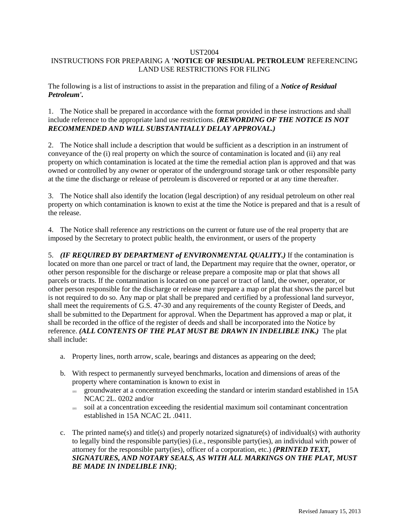#### UST2004

# INSTRUCTIONS FOR PREPARING A **'NOTICE OF RESIDUAL PETROLEUM**' REFERENCING LAND USE RESTRICTIONS FOR FILING

The following is a list of instructions to assist in the preparation and filing of a *Notice of Residual Petroleum'.*

1. The Notice shall be prepared in accordance with the format provided in these instructions and shall include reference to the appropriate land use restrictions. *(REWORDING OF THE NOTICE IS NOT RECOMMENDED AND WILL SUBSTANTIALLY DELAY APPROVAL.)*

2. The Notice shall include a description that would be sufficient as a description in an instrument of conveyance of the (i) real property on which the source of contamination is located and (ii) any real property on which contamination is located at the time the remedial action plan is approved and that was owned or controlled by any owner or operator of the underground storage tank or other responsible party at the time the discharge or release of petroleum is discovered or reported or at any time thereafter.

3. The Notice shall also identify the location (legal description) of any residual petroleum on other real property on which contamination is known to exist at the time the Notice is prepared and that is a result of the release.

4. The Notice shall reference any restrictions on the current or future use of the real property that are imposed by the Secretary to protect public health, the environment, or users of the property

5. *(IF REQUIRED BY DEPARTMENT of ENVIRONMENTAL QUALITY.)* If the contamination is located on more than one parcel or tract of land, the Department may require that the owner, operator, or other person responsible for the discharge or release prepare a composite map or plat that shows all parcels or tracts. If the contamination is located on one parcel or tract of land, the owner, operator, or other person responsible for the discharge or release may prepare a map or plat that shows the parcel but is not required to do so. Any map or plat shall be prepared and certified by a professional land surveyor, shall meet the requirements of G.S. 47-30 and any requirements of the county Register of Deeds, and shall be submitted to the Department for approval. When the Department has approved a map or plat, it shall be recorded in the office of the register of deeds and shall be incorporated into the Notice by reference. *(ALL CONTENTS OF THE PLAT MUST BE DRAWN IN INDELIBLE INK.)* The plat shall include:

- a. Property lines, north arrow, scale, bearings and distances as appearing on the deed;
- b. With respect to permanently surveyed benchmarks, location and dimensions of areas of the property where contamination is known to exist in
	- groundwater at a concentration exceeding the standard or interim standard established in 15A NCAC 2L. 0202 and/or
	- $\equiv$  soil at a concentration exceeding the residential maximum soil contaminant concentration established in 15A NCAC 2L .0411.
- c. The printed name(s) and title(s) and properly notarized signature(s) of individual(s) with authority to legally bind the responsible party(ies) (i.e., responsible party(ies), an individual with power of attorney for the responsible party(ies), officer of a corporation, etc.) *(PRINTED TEXT, SIGNATURES, AND NOTARY SEALS, AS WITH ALL MARKINGS ON THE PLAT, MUST BE MADE IN INDELIBLE INK)*;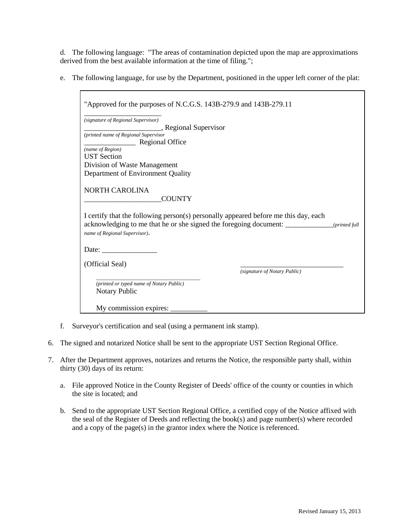d. The following language: "The areas of contamination depicted upon the map are approximations derived from the best available information at the time of filing.";

e. The following language, for use by the Department, positioned in the upper left corner of the plat:

| (signature of Regional Supervisor)   |                                                                                     |
|--------------------------------------|-------------------------------------------------------------------------------------|
| Regional Supervisor                  |                                                                                     |
| (printed name of Regional Supervisor |                                                                                     |
| Regional Office                      |                                                                                     |
| (name of Region)                     |                                                                                     |
| <b>UST</b> Section                   |                                                                                     |
| Division of Waste Management         |                                                                                     |
| Department of Environment Quality    |                                                                                     |
| NORTH CAROLINA<br><b>COUNTY</b>      |                                                                                     |
|                                      | I certify that the following person(s) personally appeared before me this day, each |
| name of Regional Supervisor).        |                                                                                     |
| Date: $\qquad \qquad$                |                                                                                     |
| (Official Seal)                      |                                                                                     |
|                                      | (signature of Notary Public)                                                        |

f. Surveyor's certification and seal (using a permanent ink stamp).

Г

- 6. The signed and notarized Notice shall be sent to the appropriate UST Section Regional Office.
- 7. After the Department approves, notarizes and returns the Notice, the responsible party shall, within thirty (30) days of its return:
	- a. File approved Notice in the County Register of Deeds' office of the county or counties in which the site is located; and
	- b. Send to the appropriate UST Section Regional Office, a certified copy of the Notice affixed with the seal of the Register of Deeds and reflecting the book(s) and page number(s) where recorded and a copy of the page(s) in the grantor index where the Notice is referenced.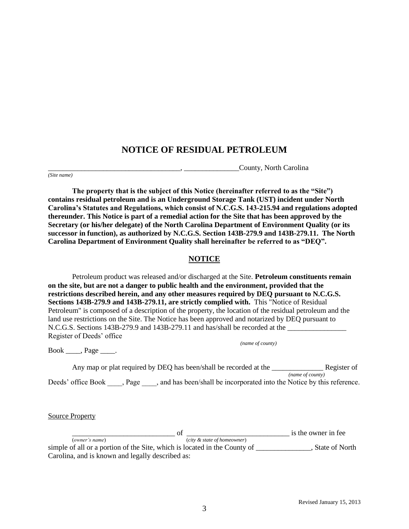# **NOTICE OF RESIDUAL PETROLEUM**

\_\_\_\_\_\_\_\_\_\_\_\_\_\_\_\_\_\_\_\_\_\_\_\_\_\_\_\_\_\_\_\_\_\_\_\_, \_\_\_\_\_\_\_\_\_\_\_\_\_\_\_County, North Carolina *(Site name)*

**The property that is the subject of this Notice (hereinafter referred to as the "Site") contains residual petroleum and is an Underground Storage Tank (UST) incident under North Carolina's Statutes and Regulations, which consist of N.C.G.S. 143-215.94 and regulations adopted thereunder. This Notice is part of a remedial action for the Site that has been approved by the Secretary (or his/her delegate) of the North Carolina Department of Environment Quality (or its successor in function), as authorized by N.C.G.S. Section 143B-279.9 and 143B-279.11. The North Carolina Department of Environment Quality shall hereinafter be referred to as "DEQ".**

# **NOTICE**

Petroleum product was released and/or discharged at the Site. **Petroleum constituents remain on the site, but are not a danger to public health and the environment, provided that the restrictions described herein, and any other measures required by DEQ pursuant to N.C.G.S. Sections 143B-279.9 and 143B-279.11, are strictly complied with.** This "Notice of Residual Petroleum" is composed of a description of the property, the location of the residual petroleum and the land use restrictions on the Site. The Notice has been approved and notarized by DEQ pursuant to  $N.C.G.S.$  Sections 143B-279.9 and 143B-279.11 and has/shall be recorded at the  $\Box$ Register of Deeds' office

Book \_\_\_\_, Page \_\_\_\_.

Any map or plat required by DEQ has been/shall be recorded at the \_\_\_\_\_\_\_\_\_\_\_\_\_\_\_\_\_\_\_\_\_\_ Register of *(name of county)* Deeds' office Book \_\_\_\_, Page \_\_\_\_, and has been/shall be incorporated into the Notice by this reference.

*(name of county)*

Source Property

 $\overline{\phantom{a} \phantom{a}}$  of  $\overline{\phantom{a} \phantom{a} \phantom{a}}$  of  $\overline{\phantom{a} \phantom{a} \phantom{a}}$  is the owner in fee (*owner's name*) (*city & state of homeowner*) simple of all or a portion of the Site, which is located in the County of \_\_\_\_\_\_\_\_\_\_\_\_\_, State of North Carolina, and is known and legally described as: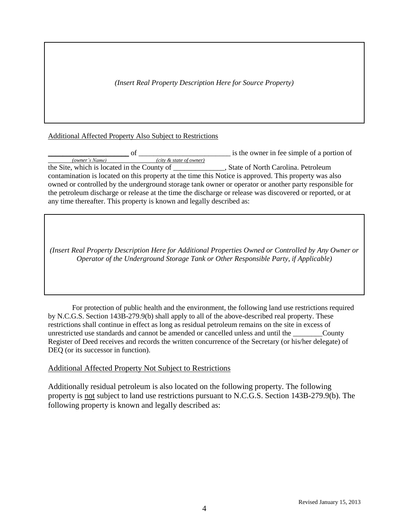*(Insert Real Property Description Here for Source Property)*

## Additional Affected Property Also Subject to Restrictions

\_\_\_\_\_\_\_\_\_\_\_\_\_\_\_\_\_\_\_\_\_\_ of \_\_\_\_\_\_\_\_\_\_\_\_\_\_\_\_\_\_\_\_\_\_\_\_\_ is the owner in fee simple of a portion of *(owner's Name) (city & state of owner)* the Site, which is located in the County of \_\_\_\_\_\_\_\_\_\_\_\_\_\_, State of North Carolina. Petroleum contamination is located on this property at the time this Notice is approved. This property was also owned or controlled by the underground storage tank owner or operator or another party responsible for the petroleum discharge or release at the time the discharge or release was discovered or reported, or at any time thereafter. This property is known and legally described as:

*(Insert Real Property Description Here for Additional Properties Owned or Controlled by Any Owner or Operator of the Underground Storage Tank or Other Responsible Party, if Applicable)*

For protection of public health and the environment, the following land use restrictions required by N.C.G.S. Section 143B-279.9(b) shall apply to all of the above-described real property. These restrictions shall continue in effect as long as residual petroleum remains on the site in excess of unrestricted use standards and cannot be amended or cancelled unless and until the County Register of Deed receives and records the written concurrence of the Secretary (or his/her delegate) of DEQ (or its successor in function).

## Additional Affected Property Not Subject to Restrictions

Additionally residual petroleum is also located on the following property. The following property is not subject to land use restrictions pursuant to N.C.G.S. Section 143B-279.9(b). The following property is known and legally described as: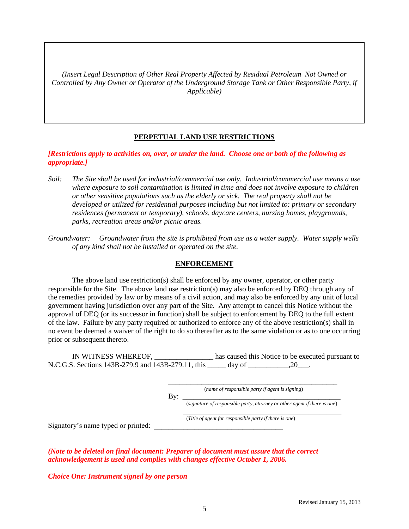*(Insert Legal Description of Other Real Property Affected by Residual Petroleum Not Owned or Controlled by Any Owner or Operator of the Underground Storage Tank or Other Responsible Party, if Applicable)*

### **PERPETUAL LAND USE RESTRICTIONS**

*[Restrictions apply to activities on, over, or under the land. Choose one or both of the following as appropriate.]*

- *Soil: The Site shall be used for industrial/commercial use only. Industrial/commercial use means a use where exposure to soil contamination is limited in time and does not involve exposure to children or other sensitive populations such as the elderly or sick. The real property shall not be developed or utilized for residential purposes including but not limited to: primary or secondary residences (permanent or temporary), schools, daycare centers, nursing homes, playgrounds, parks, recreation areas and/or picnic areas.*
- *Groundwater: Groundwater from the site is prohibited from use as a water supply. Water supply wells of any kind shall not be installed or operated on the site.*

#### **ENFORCEMENT**

The above land use restriction(s) shall be enforced by any owner, operator, or other party responsible for the Site. The above land use restriction(s) may also be enforced by DEQ through any of the remedies provided by law or by means of a civil action, and may also be enforced by any unit of local government having jurisdiction over any part of the Site. Any attempt to cancel this Notice without the approval of DEQ (or its successor in function) shall be subject to enforcement by DEQ to the full extent of the law. Failure by any party required or authorized to enforce any of the above restriction(s) shall in no event be deemed a waiver of the right to do so thereafter as to the same violation or as to one occurring prior or subsequent thereto.

IN WITNESS WHEREOF, \_\_\_\_\_\_\_\_\_\_\_\_\_\_\_\_ has caused this Notice to be executed pursuant to N.C.G.S. Sections 143B-279.9 and 143B-279.11, this \_\_\_\_\_\_\_ day of .20 .20

> \_\_\_\_\_\_\_\_\_\_\_\_\_\_\_\_\_\_\_\_\_\_\_\_\_\_\_\_\_\_\_\_\_\_\_\_\_\_\_\_\_\_\_\_\_\_ (*name of responsible party if agent is signing*)

(*Title of agent for responsible party if there is one*)

By: \_\_\_\_\_\_\_\_\_\_\_\_\_\_\_\_\_\_\_\_\_\_\_\_\_\_\_\_\_\_\_\_\_\_\_\_\_\_\_\_\_\_\_ (*signature of responsible party, attorney or other agent if there is one*)

\_\_\_\_\_\_\_\_\_\_\_\_\_\_\_\_\_\_\_\_\_\_\_\_\_\_\_\_\_\_\_\_\_\_\_\_\_\_\_\_\_\_\_

Signatory's name typed or printed:

*(Note to be deleted on final document: Preparer of document must assure that the correct acknowledgement is used and complies with changes effective October 1, 2006.*

*Choice One: Instrument signed by one person*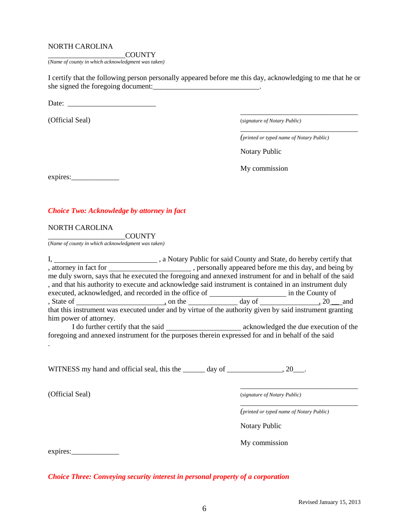## NORTH CAROLINA

\_\_\_\_\_\_\_\_\_\_\_\_\_\_\_\_\_\_\_\_\_COUNTY (*Name of county in which acknowledgment was taken)*

I certify that the following person personally appeared before me this day, acknowledging to me that he or she signed the foregoing document:\_\_\_\_\_\_\_\_\_\_\_\_\_\_\_\_\_\_\_\_\_\_\_\_\_\_\_\_\_.

Date: \_\_\_\_\_\_\_\_\_\_\_\_\_\_\_\_\_\_\_\_\_\_\_\_

(Official Seal) (*signature of Notary Public)*

*(printed or typed name of Notary Public)*

\_\_\_\_\_\_\_\_\_\_\_\_\_\_\_\_\_\_\_\_\_\_\_\_\_\_\_\_\_\_\_\_

\_\_\_\_\_\_\_\_\_\_\_\_\_\_\_\_\_\_\_\_\_\_\_\_\_\_\_\_\_\_\_\_

Notary Public

My commission

expires:\_\_\_\_\_\_\_\_\_\_\_\_\_

## *Choice Two: Acknowledge by attorney in fact*

#### NORTH CAROLINA

\_\_\_\_\_\_\_\_\_\_\_\_\_\_\_\_\_\_\_\_\_COUNTY (*Name of county in which acknowledgment was taken)*

I, 1. All a Notary Public for said County and State, do hereby certify that , attorney in fact for \_\_\_\_\_\_\_\_\_\_\_\_\_\_\_\_\_\_\_\_\_\_\_, personally appeared before me this day, and being by me duly sworn, says that he executed the foregoing and annexed instrument for and in behalf of the said , and that his authority to execute and acknowledge said instrument is contained in an instrument duly executed, acknowledged, and recorded in the office of in the County of in the County of , State of , on the day of ,  $20$  and that this instrument was executed under and by virtue of the authority given by said instrument granting him power of attorney. I do further certify that the said acknowledged the due execution of the

foregoing and annexed instrument for the purposes therein expressed for and in behalf of the said .

WITNESS my hand and official seal, this the \_\_\_\_\_\_ day of \_\_\_\_\_\_\_\_\_\_\_\_\_\_\_, 20\_\_.

(Official Seal) (*signature of Notary Public)*

*(printed or typed name of Notary Public)*

\_\_\_\_\_\_\_\_\_\_\_\_\_\_\_\_\_\_\_\_\_\_\_\_\_\_\_\_\_\_\_\_

\_\_\_\_\_\_\_\_\_\_\_\_\_\_\_\_\_\_\_\_\_\_\_\_\_\_\_\_\_\_\_\_

Notary Public

My commission

expires:

*Choice Three: Conveying security interest in personal property of a corporation*